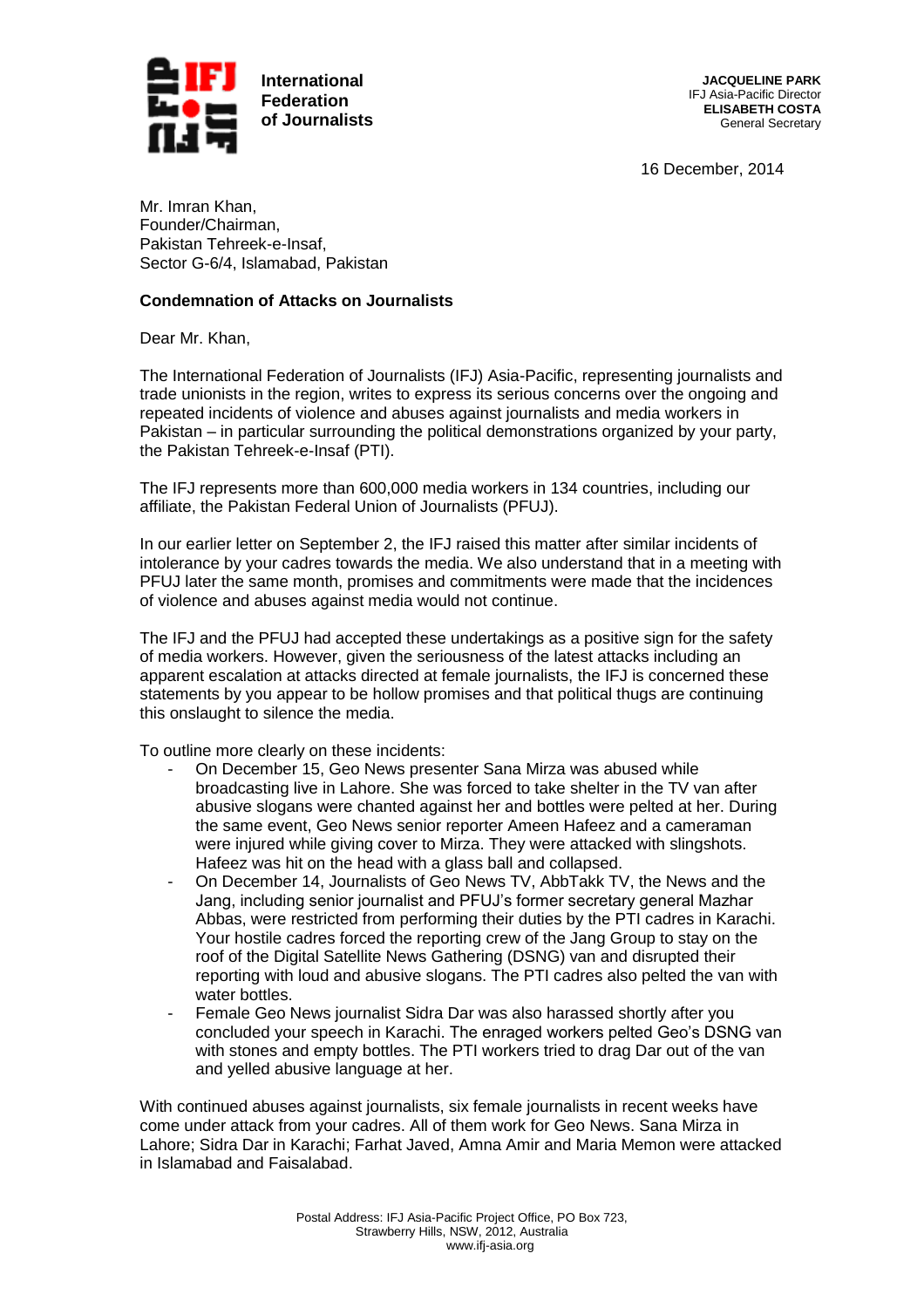

**JACQUELINE PARK** IFJ Asia-Pacific Director **ELISABETH COSTA** General Secretary

16 December, 2014

Mr. Imran Khan, Founder/Chairman, Pakistan Tehreek-e-Insaf, Sector G-6/4, Islamabad, Pakistan

## **Condemnation of Attacks on Journalists**

Dear Mr. Khan,

The International Federation of Journalists (IFJ) Asia-Pacific, representing journalists and trade unionists in the region, writes to express its serious concerns over the ongoing and repeated incidents of violence and abuses against journalists and media workers in Pakistan – in particular surrounding the political demonstrations organized by your party, the Pakistan Tehreek-e-Insaf (PTI).

The IFJ represents more than 600,000 media workers in 134 countries, including our affiliate, the Pakistan Federal Union of Journalists (PFUJ).

In our earlier letter on September 2, the IFJ raised this matter after similar incidents of intolerance by your cadres towards the media. We also understand that in a meeting with PFUJ later the same month, promises and commitments were made that the incidences of violence and abuses against media would not continue.

The IFJ and the PFUJ had accepted these undertakings as a positive sign for the safety of media workers. However, given the seriousness of the latest attacks including an apparent escalation at attacks directed at female journalists, the IFJ is concerned these statements by you appear to be hollow promises and that political thugs are continuing this onslaught to silence the media.

To outline more clearly on these incidents:

- On December 15, Geo News presenter Sana Mirza was abused while broadcasting live in Lahore. She was forced to take shelter in the TV van after abusive slogans were chanted against her and bottles were pelted at her. During the same event, Geo News senior reporter Ameen Hafeez and a cameraman were injured while giving cover to Mirza. They were attacked with slingshots. Hafeez was hit on the head with a glass ball and collapsed.
- On December 14, Journalists of Geo News TV, AbbTakk TV, the News and the Jang, including senior journalist and PFUJ's former secretary general Mazhar Abbas, were restricted from performing their duties by the PTI cadres in Karachi. Your hostile cadres forced the reporting crew of the Jang Group to stay on the roof of the Digital Satellite News Gathering (DSNG) van and disrupted their reporting with loud and abusive slogans. The PTI cadres also pelted the van with water bottles.
- Female Geo News journalist Sidra Dar was also harassed shortly after you concluded your speech in Karachi. The enraged workers pelted Geo's DSNG van with stones and empty bottles. The PTI workers tried to drag Dar out of the van and yelled abusive language at her.

With continued abuses against journalists, six female journalists in recent weeks have come under attack from your cadres. All of them work for Geo News. Sana Mirza in Lahore; Sidra Dar in Karachi; Farhat Javed, Amna Amir and Maria Memon were attacked in Islamabad and Faisalabad.